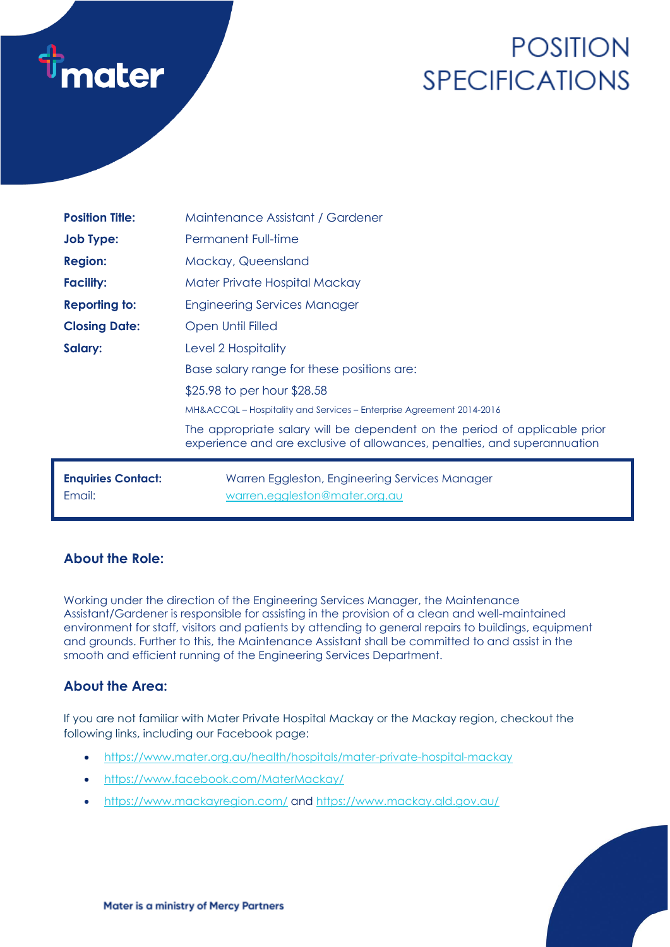

# **POSITION SPECIFICATIONS**

| <b>Position Title:</b>              | Maintenance Assistant / Gardener                                                                                                                        |
|-------------------------------------|---------------------------------------------------------------------------------------------------------------------------------------------------------|
| <b>Job Type:</b>                    | <b>Permanent Full-time</b>                                                                                                                              |
| <b>Region:</b>                      | Mackay, Queensland                                                                                                                                      |
| <b>Facility:</b>                    | Mater Private Hospital Mackay                                                                                                                           |
| <b>Reporting to:</b>                | <b>Engineering Services Manager</b>                                                                                                                     |
| <b>Closing Date:</b>                | Open Until Filled                                                                                                                                       |
| Salary:                             | Level 2 Hospitality                                                                                                                                     |
|                                     | Base salary range for these positions are:                                                                                                              |
|                                     | \$25.98 to per hour \$28.58                                                                                                                             |
|                                     | MH&ACCQL – Hospitality and Services – Enterprise Agreement 2014-2016                                                                                    |
|                                     | The appropriate salary will be dependent on the period of applicable prior<br>experience and are exclusive of allowances, penalties, and superannuation |
| <b>Enquiries Contact:</b><br>Email: | Warren Eggleston, Engineering Services Manager<br>warren.eggleston@mater.org.au                                                                         |

# **About the Role:**

Working under the direction of the Engineering Services Manager, the Maintenance Assistant/Gardener is responsible for assisting in the provision of a clean and well-maintained environment for staff, visitors and patients by attending to general repairs to buildings, equipment and grounds. Further to this, the Maintenance Assistant shall be committed to and assist in the smooth and efficient running of the Engineering Services Department.

# **About the Area:**

If you are not familiar with Mater Private Hospital Mackay or the Mackay region, checkout the following links, including our Facebook page:

- <https://www.mater.org.au/health/hospitals/mater-private-hospital-mackay>
- <https://www.facebook.com/MaterMackay/>
- <https://www.mackayregion.com/> and<https://www.mackay.qld.gov.au/>